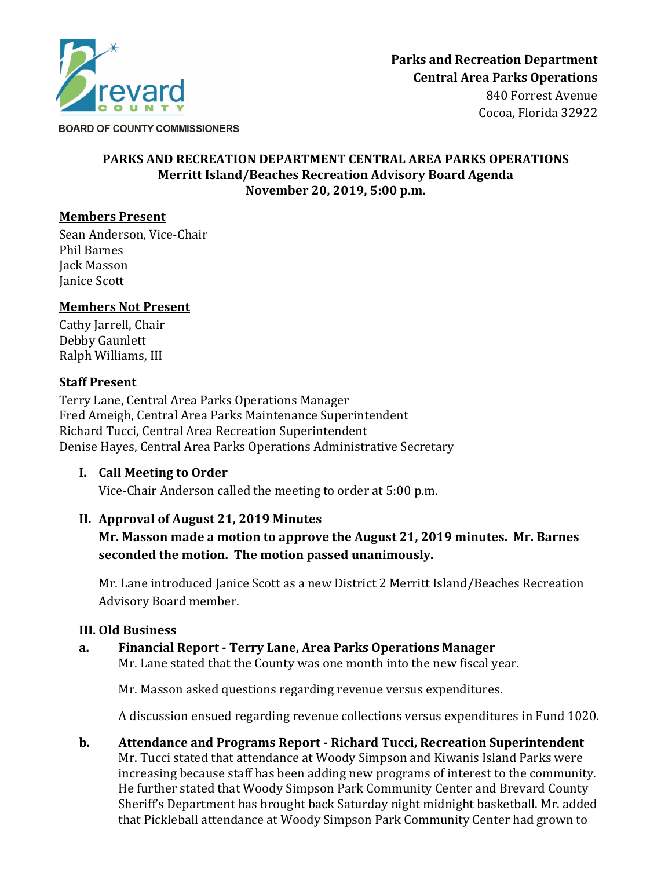

# **PARKS AND RECREATION DEPARTMENT CENTRAL AREA PARKS OPERATIONS**

#### **Merritt Island/Beaches Recreation Advisory Board Agenda November 20, 2019, 5:00 p.m.**

## **Members Present**

Sean Anderson, Vice-Chair Phil Barnes Jack Masson Janice Scott

#### **Members Not Present**

Cathy Jarrell, Chair Debby Gaunlett Ralph Williams, III

#### **Staff Present**

Terry Lane, Central Area Parks Operations Manager Fred Ameigh, Central Area Parks Maintenance Superintendent Richard Tucci, Central Area Recreation Superintendent Denise Hayes, Central Area Parks Operations Administrative Secretary

## **I. Call Meeting to Order**

Vice-Chair Anderson called the meeting to order at 5:00 p.m.

## **II. Approval of August 21, 2019 Minutes**

## **Mr. Masson made a motion to approve the August 21, 2019 minutes. Mr. Barnes seconded the motion. The motion passed unanimously.**

Mr. Lane introduced Janice Scott as a new District 2 Merritt Island/Beaches Recreation Advisory Board member.

## **III. Old Business**

#### **a. Financial Report - Terry Lane, Area Parks Operations Manager** Mr. Lane stated that the County was one month into the new fiscal year.

Mr. Masson asked questions regarding revenue versus expenditures.

A discussion ensued regarding revenue collections versus expenditures in Fund 1020.

**b. Attendance and Programs Report - Richard Tucci, Recreation Superintendent** Mr. Tucci stated that attendance at Woody Simpson and Kiwanis Island Parks were increasing because staff has been adding new programs of interest to the community. He further stated that Woody Simpson Park Community Center and Brevard County Sheriff's Department has brought back Saturday night midnight basketball. Mr. added that Pickleball attendance at Woody Simpson Park Community Center had grown to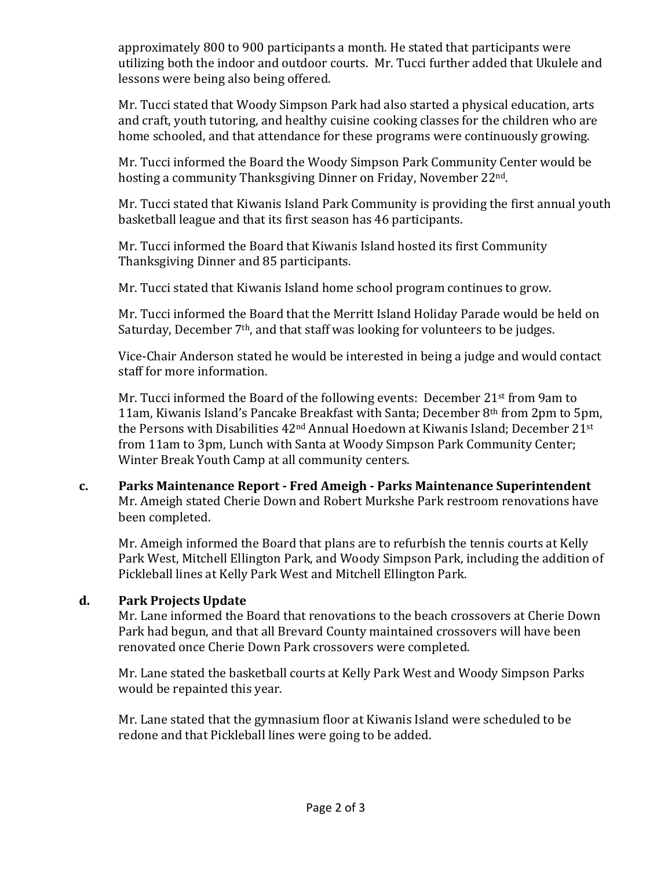approximately 800 to 900 participants a month. He stated that participants were utilizing both the indoor and outdoor courts. Mr. Tucci further added that Ukulele and lessons were being also being offered.

Mr. Tucci stated that Woody Simpson Park had also started a physical education, arts and craft, youth tutoring, and healthy cuisine cooking classes for the children who are home schooled, and that attendance for these programs were continuously growing.

Mr. Tucci informed the Board the Woody Simpson Park Community Center would be hosting a community Thanksgiving Dinner on Friday, November 22nd.

Mr. Tucci stated that Kiwanis Island Park Community is providing the first annual youth basketball league and that its first season has 46 participants.

Mr. Tucci informed the Board that Kiwanis Island hosted its first Community Thanksgiving Dinner and 85 participants.

Mr. Tucci stated that Kiwanis Island home school program continues to grow.

Mr. Tucci informed the Board that the Merritt Island Holiday Parade would be held on Saturday, December 7<sup>th</sup>, and that staff was looking for volunteers to be judges.

Vice-Chair Anderson stated he would be interested in being a judge and would contact staff for more information.

Mr. Tucci informed the Board of the following events: December 21<sup>st</sup> from 9am to 11am, Kiwanis Island's Pancake Breakfast with Santa; December 8th from 2pm to 5pm, the Persons with Disabilities 42<sup>nd</sup> Annual Hoedown at Kiwanis Island; December 21<sup>st</sup> from 11am to 3pm, Lunch with Santa at Woody Simpson Park Community Center; Winter Break Youth Camp at all community centers.

**c. Parks Maintenance Report - Fred Ameigh - Parks Maintenance Superintendent** Mr. Ameigh stated Cherie Down and Robert Murkshe Park restroom renovations have been completed.

Mr. Ameigh informed the Board that plans are to refurbish the tennis courts at Kelly Park West, Mitchell Ellington Park, and Woody Simpson Park, including the addition of Pickleball lines at Kelly Park West and Mitchell Ellington Park.

## **d. Park Projects Update**

Mr. Lane informed the Board that renovations to the beach crossovers at Cherie Down Park had begun, and that all Brevard County maintained crossovers will have been renovated once Cherie Down Park crossovers were completed.

Mr. Lane stated the basketball courts at Kelly Park West and Woody Simpson Parks would be repainted this year.

Mr. Lane stated that the gymnasium floor at Kiwanis Island were scheduled to be redone and that Pickleball lines were going to be added.